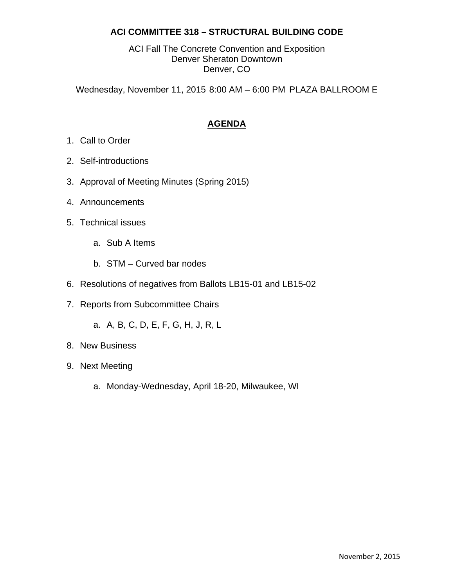## **ACI COMMITTEE 318 – STRUCTURAL BUILDING CODE**

ACI Fall The Concrete Convention and Exposition Denver Sheraton Downtown Denver, CO

Wednesday, November 11, 2015 8:00 AM – 6:00 PM PLAZA BALLROOM E

# **AGENDA**

- 1. Call to Order
- 2. Self-introductions
- 3. Approval of Meeting Minutes (Spring 2015)
- 4. Announcements
- 5. Technical issues
	- a. Sub A Items
	- b. STM Curved bar nodes
- 6. Resolutions of negatives from Ballots LB15-01 and LB15-02
- 7. Reports from Subcommittee Chairs
	- a. A, B, C, D, E, F, G, H, J, R, L
- 8. New Business
- 9. Next Meeting
	- a. Monday-Wednesday, April 18-20, Milwaukee, WI